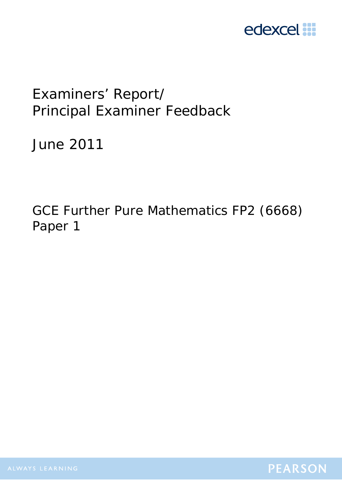

# Examiners' Report/ Principal Examiner Feedback

June 2011

GCE Further Pure Mathematics FP2 (6668) Paper 1

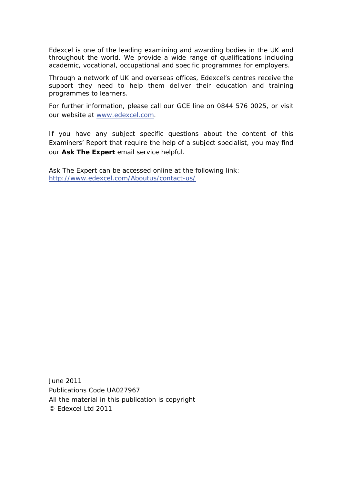Edexcel is one of the leading examining and awarding bodies in the UK and throughout the world. We provide a wide range of qualifications including academic, vocational, occupational and specific programmes for employers.

Through a network of UK and overseas offices, Edexcel's centres receive the support they need to help them deliver their education and training programmes to learners.

For further information, please call our GCE line on 0844 576 0025, or visit our website at www.edexcel.com.

If you have any subject specific questions about the content of this Examiners' Report that require the help of a subject specialist, you may find our **Ask The Expert** email service helpful.

Ask The Expert can be accessed online at the following link: http://www.edexcel.com/Aboutus/contact-us/

June 2011 Publications Code UA027967 All the material in this publication is copyright © Edexcel Ltd 2011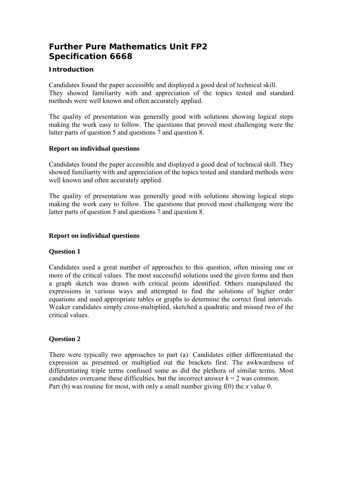# **Further Pure Mathematics Unit FP2 Specification 6668**

# **Introduction**

Candidates found the paper accessible and displayed a good deal of technical skill. They showed familiarity with and appreciation of the topics tested and standard methods were well known and often accurately applied.

The quality of presentation was generally good with solutions showing logical steps making the work easy to follow. The questions that proved most challenging were the latter parts of question 5 and questions 7 and question 8.

## **Report on individual questions**

Candidates found the paper accessible and displayed a good deal of technical skill. They showed familiarity with and appreciation of the topics tested and standard methods were well known and often accurately applied.

The quality of presentation was generally good with solutions showing logical steps making the work easy to follow. The questions that proved most challenging were the latter parts of question 5 and questions 7 and question 8.

#### **Report on individual questions**

## **Question 1**

Candidates used a great number of approaches to this question, often missing one or more of the critical values. The most successful solutions used the given forms and then a graph sketch was drawn with critical points identified. Others manipulated the expressions in various ways and attempted to find the solutions of higher order equations and used appropriate tables or graphs to determine the correct final intervals. Weaker candidates simply cross-multiplied, sketched a quadratic and missed two of the critical values.

## **Question 2**

There were typically two approaches to part (a): Candidates either differentiated the expression as presented or multiplied out the brackets first. The awkwardness of differentiating triple terms confused some as did the plethora of similar terms. Most candidates overcame these difficulties, but the incorrect answer  $k = 2$  was common. Part (b) was routine for most, with only a small number giving f(0) the *x* value 0.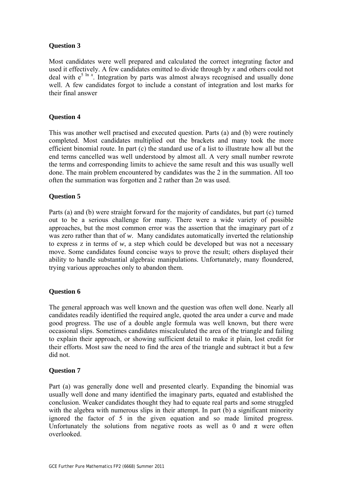## **Question 3**

Most candidates were well prepared and calculated the correct integrating factor and used it effectively. A few candidates omitted to divide through by *x* and others could not deal with  $e^{5 \ln x}$ . Integration by parts was almost always recognised and usually done well. A few candidates forgot to include a constant of integration and lost marks for their final answer

#### **Question 4**

This was another well practised and executed question. Parts (a) and (b) were routinely completed. Most candidates multiplied out the brackets and many took the more efficient binomial route. In part (c) the standard use of a list to illustrate how all but the end terms cancelled was well understood by almost all. A very small number rewrote the terms and corresponding limits to achieve the same result and this was usually well done. The main problem encountered by candidates was the 2 in the summation. All too often the summation was forgotten and 2 rather than 2*n* was used.

#### **Question 5**

Parts (a) and (b) were straight forward for the majority of candidates, but part (c) turned out to be a serious challenge for many. There were a wide variety of possible approaches, but the most common error was the assertion that the imaginary part of *z* was zero rather than that of *w*. Many candidates automatically inverted the relationship to express z in terms of *w*, a step which could be developed but was not a necessary move. Some candidates found concise ways to prove the result; others displayed their ability to handle substantial algebraic manipulations. Unfortunately, many floundered, trying various approaches only to abandon them.

#### **Question 6**

The general approach was well known and the question was often well done. Nearly all candidates readily identified the required angle, quoted the area under a curve and made good progress. The use of a double angle formula was well known, but there were occasional slips. Sometimes candidates miscalculated the area of the triangle and failing to explain their approach, or showing sufficient detail to make it plain, lost credit for their efforts. Most saw the need to find the area of the triangle and subtract it but a few did not.

#### **Question 7**

Part (a) was generally done well and presented clearly. Expanding the binomial was usually well done and many identified the imaginary parts, equated and established the conclusion. Weaker candidates thought they had to equate real parts and some struggled with the algebra with numerous slips in their attempt. In part (b) a significant minority ignored the factor of 5 in the given equation and so made limited progress. Unfortunately the solutions from negative roots as well as 0 and  $\pi$  were often overlooked.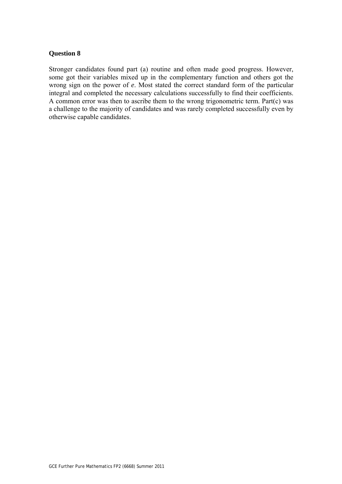#### **Question 8**

Stronger candidates found part (a) routine and often made good progress. However, some got their variables mixed up in the complementary function and others got the wrong sign on the power of *e*. Most stated the correct standard form of the particular integral and completed the necessary calculations successfully to find their coefficients. A common error was then to ascribe them to the wrong trigonometric term. Part(c) was a challenge to the majority of candidates and was rarely completed successfully even by otherwise capable candidates.